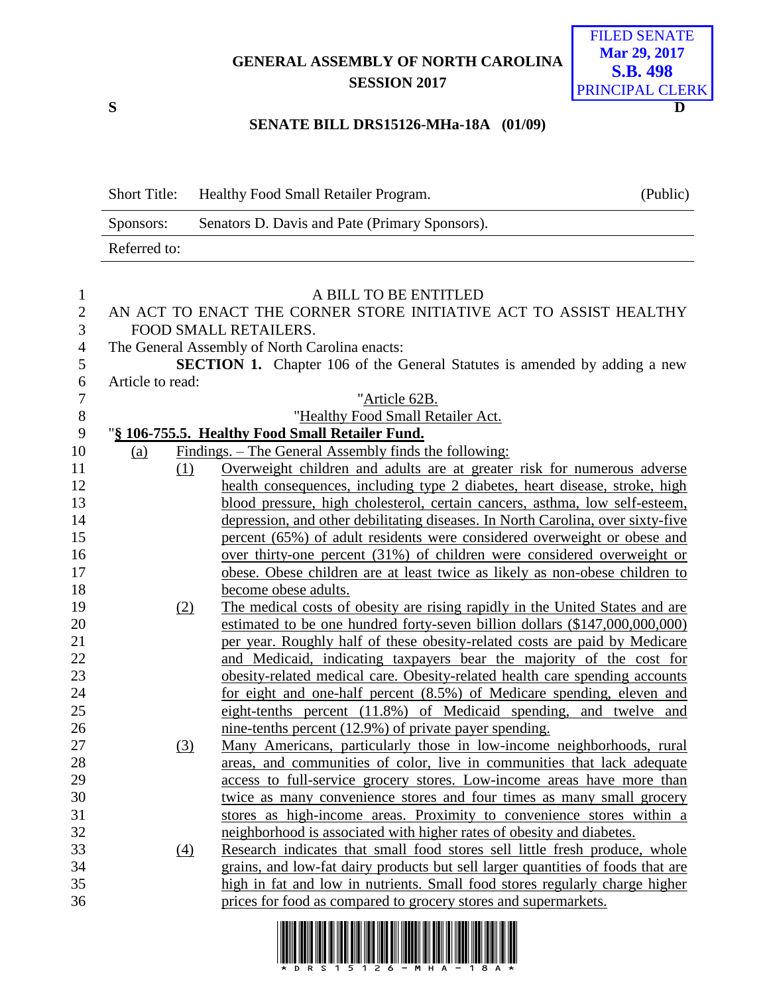## **GENERAL ASSEMBLY OF NORTH CAROLINA SESSION 2017**



## **SENATE BILL DRS15126-MHa-18A (01/09)**

|                   | <b>Short Title:</b> | Healthy Food Small Retailer Program.                                                                                                                           | (Public) |
|-------------------|---------------------|----------------------------------------------------------------------------------------------------------------------------------------------------------------|----------|
|                   | Sponsors:           | Senators D. Davis and Pate (Primary Sponsors).                                                                                                                 |          |
|                   | Referred to:        |                                                                                                                                                                |          |
|                   |                     | A BILL TO BE ENTITLED                                                                                                                                          |          |
| 1<br>$\mathbf{2}$ |                     | AN ACT TO ENACT THE CORNER STORE INITIATIVE ACT TO ASSIST HEALTHY                                                                                              |          |
| 3                 |                     | FOOD SMALL RETAILERS.                                                                                                                                          |          |
| 4                 |                     | The General Assembly of North Carolina enacts:                                                                                                                 |          |
| 5<br>6            | Article to read:    | SECTION 1. Chapter 106 of the General Statutes is amended by adding a new                                                                                      |          |
| $\tau$            |                     | "Article 62B.                                                                                                                                                  |          |
| $8\phantom{1}$    |                     | "Healthy Food Small Retailer Act.                                                                                                                              |          |
| 9                 |                     | "§ 106-755.5. Healthy Food Small Retailer Fund.                                                                                                                |          |
| 10                | (a)                 | Findings. - The General Assembly finds the following:                                                                                                          |          |
| 11                | (1)                 | Overweight children and adults are at greater risk for numerous adverse                                                                                        |          |
| 12                |                     | health consequences, including type 2 diabetes, heart disease, stroke, high                                                                                    |          |
| 13                |                     | blood pressure, high cholesterol, certain cancers, asthma, low self-esteem,                                                                                    |          |
| 14                |                     | depression, and other debilitating diseases. In North Carolina, over sixty-five                                                                                |          |
| 15                |                     | percent (65%) of adult residents were considered overweight or obese and                                                                                       |          |
| 16                |                     | over thirty-one percent (31%) of children were considered overweight or                                                                                        |          |
| 17                |                     | obese. Obese children are at least twice as likely as non-obese children to                                                                                    |          |
| 18                |                     | become obese adults.                                                                                                                                           |          |
| 19                | (2)                 | The medical costs of obesity are rising rapidly in the United States and are                                                                                   |          |
| 20                |                     | estimated to be one hundred forty-seven billion dollars (\$147,000,000,000)                                                                                    |          |
| 21                |                     | per year. Roughly half of these obesity-related costs are paid by Medicare                                                                                     |          |
| 22                |                     | and Medicaid, indicating taxpayers bear the majority of the cost for                                                                                           |          |
| 23                |                     | obesity-related medical care. Obesity-related health care spending accounts                                                                                    |          |
| 24                |                     | for eight and one-half percent (8.5%) of Medicare spending, eleven and                                                                                         |          |
| 25                |                     | eight-tenths percent (11.8%) of Medicaid spending, and twelve and                                                                                              |          |
| 26                |                     | <u>nine-tenths percent (12.9%) of private payer spending.</u>                                                                                                  |          |
| 27                | (3)                 | Many Americans, particularly those in low-income neighborhoods, rural                                                                                          |          |
| 28                |                     | areas, and communities of color, live in communities that lack adequate                                                                                        |          |
| 29                |                     | access to full-service grocery stores. Low-income areas have more than                                                                                         |          |
| 30                |                     | twice as many convenience stores and four times as many small grocery                                                                                          |          |
| 31                |                     | stores as high-income areas. Proximity to convenience stores within a                                                                                          |          |
| 32                |                     | neighborhood is associated with higher rates of obesity and diabetes.                                                                                          |          |
| 33                | (4)                 | Research indicates that small food stores sell little fresh produce, whole                                                                                     |          |
| 34<br>35          |                     | grains, and low-fat dairy products but sell larger quantities of foods that are<br>high in fat and low in nutrients. Small food stores regularly charge higher |          |
| 36                |                     | prices for food as compared to grocery stores and supermarkets.                                                                                                |          |
|                   |                     |                                                                                                                                                                |          |

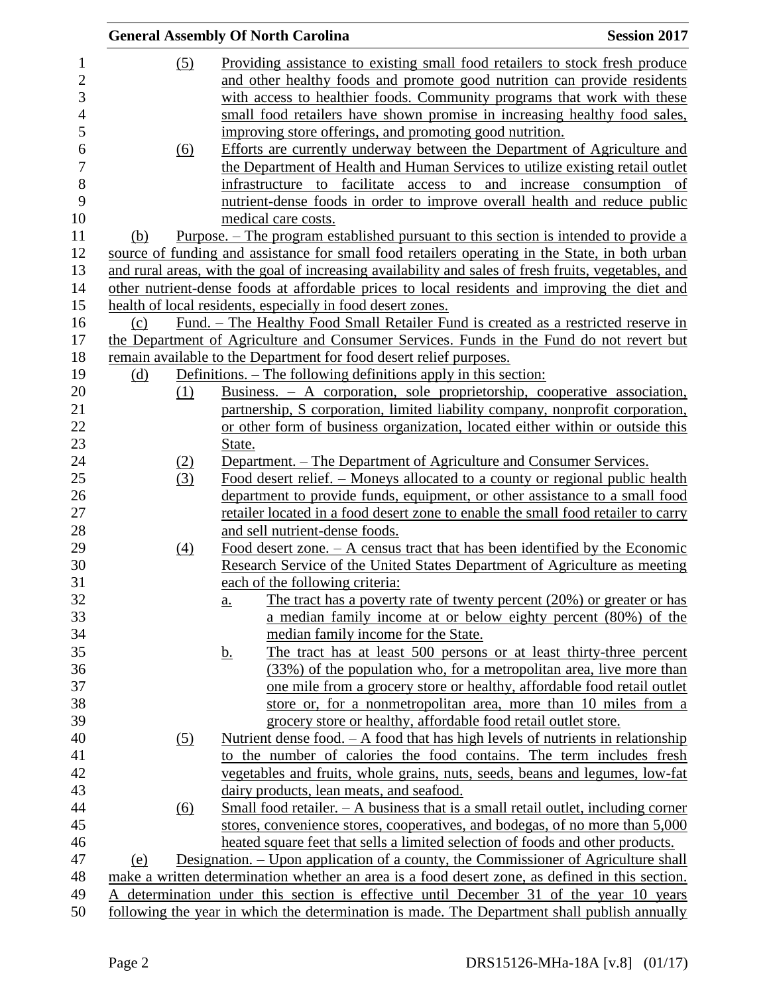|     |            | <b>General Assembly Of North Carolina</b>                                                                                                                           | <b>Session 2017</b> |
|-----|------------|---------------------------------------------------------------------------------------------------------------------------------------------------------------------|---------------------|
|     | (5)        | Providing assistance to existing small food retailers to stock fresh produce                                                                                        |                     |
|     |            | and other healthy foods and promote good nutrition can provide residents                                                                                            |                     |
|     |            | with access to healthier foods. Community programs that work with these                                                                                             |                     |
|     |            | small food retailers have shown promise in increasing healthy food sales,                                                                                           |                     |
|     |            |                                                                                                                                                                     |                     |
|     |            | improving store offerings, and promoting good nutrition.                                                                                                            |                     |
|     | (6)        | Efforts are currently underway between the Department of Agriculture and                                                                                            |                     |
|     |            | the Department of Health and Human Services to utilize existing retail outlet                                                                                       |                     |
|     |            | infrastructure to facilitate access to and increase consumption of                                                                                                  |                     |
|     |            | nutrient-dense foods in order to improve overall health and reduce public                                                                                           |                     |
|     |            | medical care costs.                                                                                                                                                 |                     |
| (b) |            | <u>Purpose. – The program established pursuant to this section is intended to provide a</u>                                                                         |                     |
|     |            | source of funding and assistance for small food retailers operating in the State, in both urban                                                                     |                     |
|     |            | and rural areas, with the goal of increasing availability and sales of fresh fruits, vegetables, and                                                                |                     |
|     |            | other nutrient-dense foods at affordable prices to local residents and improving the diet and                                                                       |                     |
|     |            | health of local residents, especially in food desert zones.                                                                                                         |                     |
| (c) |            | Fund. – The Healthy Food Small Retailer Fund is created as a restricted reserve in                                                                                  |                     |
|     |            | the Department of Agriculture and Consumer Services. Funds in the Fund do not revert but                                                                            |                     |
|     |            | remain available to the Department for food desert relief purposes.                                                                                                 |                     |
| (d) |            | <u>Definitions. – The following definitions apply in this section:</u>                                                                                              |                     |
|     | (1)        | Business. $-$ A corporation, sole proprietorship, cooperative association,                                                                                          |                     |
|     |            | partnership, S corporation, limited liability company, nonprofit corporation,                                                                                       |                     |
|     |            | or other form of business organization, located either within or outside this                                                                                       |                     |
|     |            | State.                                                                                                                                                              |                     |
|     | <u>(2)</u> | Department. – The Department of Agriculture and Consumer Services.                                                                                                  |                     |
|     | (3)        | Food desert relief. – Moneys allocated to a county or regional public health                                                                                        |                     |
|     |            | department to provide funds, equipment, or other assistance to a small food                                                                                         |                     |
|     |            | retailer located in a food desert zone to enable the small food retailer to carry                                                                                   |                     |
|     |            | and sell nutrient-dense foods.                                                                                                                                      |                     |
|     | (4)        | Food desert zone. $- A$ census tract that has been identified by the Economic                                                                                       |                     |
|     |            | Research Service of the United States Department of Agriculture as meeting                                                                                          |                     |
|     |            | each of the following criteria:                                                                                                                                     |                     |
|     |            | The tract has a poverty rate of twenty percent $(20%)$ or greater or has<br>a.                                                                                      |                     |
|     |            | a median family income at or below eighty percent (80%) of the                                                                                                      |                     |
|     |            | median family income for the State.                                                                                                                                 |                     |
|     |            | The tract has at least 500 persons or at least thirty-three percent<br><u>b.</u>                                                                                    |                     |
|     |            | (33%) of the population who, for a metropolitan area, live more than                                                                                                |                     |
|     |            | one mile from a grocery store or healthy, affordable food retail outlet                                                                                             |                     |
|     |            | store or, for a nonmetropolitan area, more than 10 miles from a                                                                                                     |                     |
|     |            | grocery store or healthy, affordable food retail outlet store.                                                                                                      |                     |
|     | (5)        | Nutrient dense food. $- A$ food that has high levels of nutrients in relationship                                                                                   |                     |
|     |            | to the number of calories the food contains. The term includes fresh                                                                                                |                     |
|     |            | vegetables and fruits, whole grains, nuts, seeds, beans and legumes, low-fat                                                                                        |                     |
|     |            | dairy products, lean meats, and seafood.                                                                                                                            |                     |
|     |            |                                                                                                                                                                     |                     |
|     | <u>(6)</u> | Small food retailer. $- A$ business that is a small retail outlet, including corner<br>stores, convenience stores, cooperatives, and bodegas, of no more than 5,000 |                     |
|     |            |                                                                                                                                                                     |                     |
|     |            | heated square feet that sells a limited selection of foods and other products.                                                                                      |                     |
| (e) |            | <u> Designation. – Upon application of a county, the Commissioner of Agriculture shall</u>                                                                          |                     |
|     |            | make a written determination whether an area is a food desert zone, as defined in this section.                                                                     |                     |
|     |            | determination under this section is effective until December 31 of the year 10 years                                                                                |                     |
|     |            | following the year in which the determination is made. The Department shall publish annually                                                                        |                     |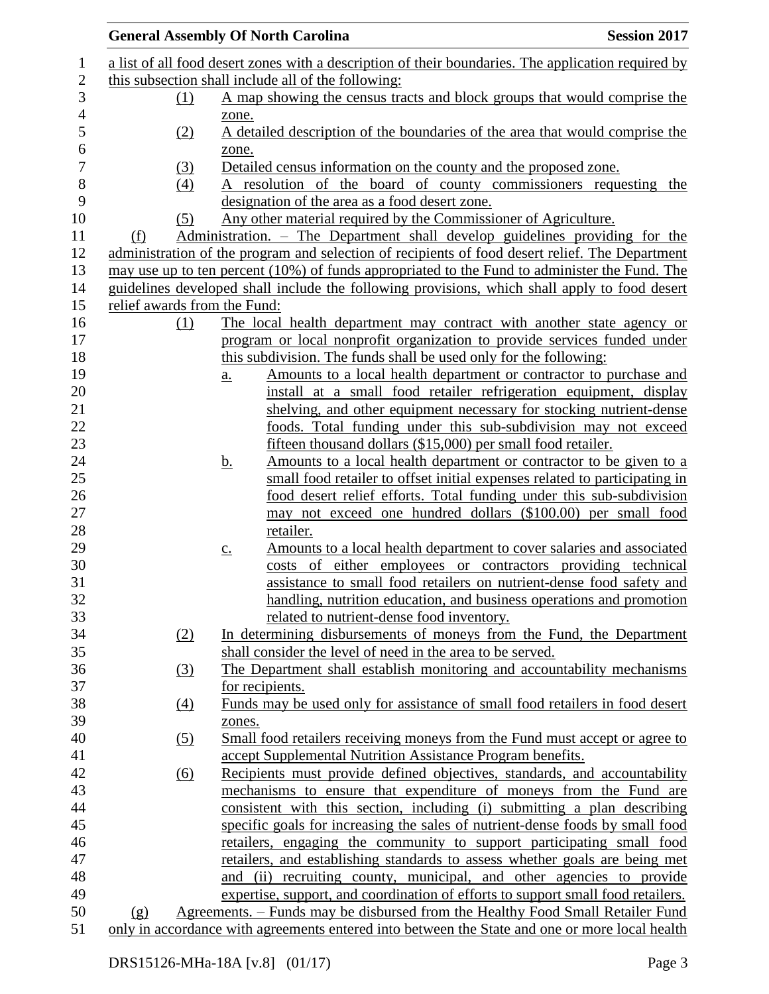| <b>General Assembly Of North Carolina</b> |                            |                                                                                                     | <b>Session 2017</b> |
|-------------------------------------------|----------------------------|-----------------------------------------------------------------------------------------------------|---------------------|
|                                           |                            | a list of all food desert zones with a description of their boundaries. The application required by |                     |
|                                           |                            | this subsection shall include all of the following:                                                 |                     |
| (1)                                       |                            | A map showing the census tracts and block groups that would comprise the                            |                     |
|                                           | zone.                      |                                                                                                     |                     |
| (2)                                       |                            | A detailed description of the boundaries of the area that would comprise the                        |                     |
|                                           | zone.                      |                                                                                                     |                     |
| (3)                                       |                            | Detailed census information on the county and the proposed zone.                                    |                     |
| (4)                                       |                            | A resolution of the board of county commissioners requesting the                                    |                     |
|                                           |                            | designation of the area as a food desert zone.                                                      |                     |
| (5)                                       |                            | Any other material required by the Commissioner of Agriculture.                                     |                     |
| (f)                                       |                            | Administration. – The Department shall develop guidelines providing for the                         |                     |
|                                           |                            | administration of the program and selection of recipients of food desert relief. The Department     |                     |
|                                           |                            | may use up to ten percent (10%) of funds appropriated to the Fund to administer the Fund. The       |                     |
|                                           |                            | guidelines developed shall include the following provisions, which shall apply to food desert       |                     |
| relief awards from the Fund:              |                            |                                                                                                     |                     |
| (1)                                       |                            | The local health department may contract with another state agency or                               |                     |
|                                           |                            | program or local nonprofit organization to provide services funded under                            |                     |
|                                           |                            | this subdivision. The funds shall be used only for the following:                                   |                     |
|                                           | $\underline{\mathbf{a}}$ . | Amounts to a local health department or contractor to purchase and                                  |                     |
|                                           |                            | install at a small food retailer refrigeration equipment, display                                   |                     |
|                                           |                            | shelving, and other equipment necessary for stocking nutrient-dense                                 |                     |
|                                           |                            | foods. Total funding under this sub-subdivision may not exceed                                      |                     |
|                                           |                            | fifteen thousand dollars (\$15,000) per small food retailer.                                        |                     |
|                                           | <u>b.</u>                  | Amounts to a local health department or contractor to be given to a                                 |                     |
|                                           |                            | small food retailer to offset initial expenses related to participating in                          |                     |
|                                           |                            | food desert relief efforts. Total funding under this sub-subdivision                                |                     |
|                                           |                            | may not exceed one hundred dollars (\$100.00) per small food                                        |                     |
|                                           |                            | retailer.                                                                                           |                     |
|                                           | $\underline{c}$ .          | Amounts to a local health department to cover salaries and associated                               |                     |
|                                           |                            | costs of either employees or contractors providing technical                                        |                     |
|                                           |                            | assistance to small food retailers on nutrient-dense food safety and                                |                     |
|                                           |                            | handling, nutrition education, and business operations and promotion                                |                     |
|                                           |                            | related to nutrient-dense food inventory.                                                           |                     |
| (2)                                       |                            | In determining disbursements of moneys from the Fund, the Department                                |                     |
|                                           |                            | shall consider the level of need in the area to be served.                                          |                     |
| (3)                                       |                            | The Department shall establish monitoring and accountability mechanisms                             |                     |
|                                           |                            | for recipients.                                                                                     |                     |
| $\left(4\right)$                          |                            | Funds may be used only for assistance of small food retailers in food desert                        |                     |
|                                           | zones.                     |                                                                                                     |                     |
| (5)                                       |                            | Small food retailers receiving moneys from the Fund must accept or agree to                         |                     |
|                                           |                            | accept Supplemental Nutrition Assistance Program benefits.                                          |                     |
| (6)                                       |                            | Recipients must provide defined objectives, standards, and accountability                           |                     |
|                                           |                            | mechanisms to ensure that expenditure of moneys from the Fund are                                   |                     |
|                                           |                            | consistent with this section, including (i) submitting a plan describing                            |                     |
|                                           |                            | specific goals for increasing the sales of nutrient-dense foods by small food                       |                     |
|                                           |                            | retailers, engaging the community to support participating small food                               |                     |
|                                           |                            | retailers, and establishing standards to assess whether goals are being met                         |                     |
|                                           |                            | and (ii) recruiting county, municipal, and other agencies to provide                                |                     |
|                                           |                            | expertise, support, and coordination of efforts to support small food retailers.                    |                     |
| (g)                                       |                            | Agreements. – Funds may be disbursed from the Healthy Food Small Retailer Fund                      |                     |
|                                           |                            | only in accordance with agreements entered into between the State and one or more local health      |                     |